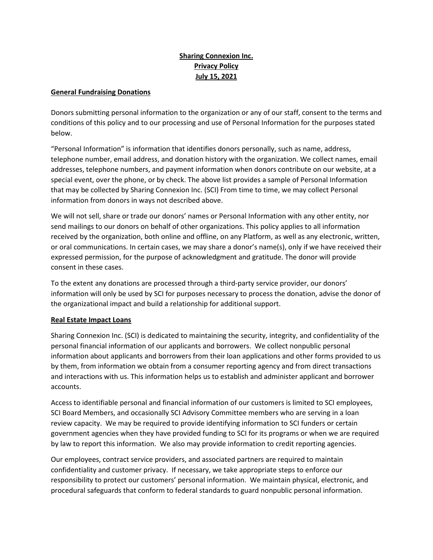## **Sharing Connexion Inc. Privacy Policy July 15, 2021**

## **General Fundraising Donations**

Donors submitting personal information to the organization or any of our staff, consent to the terms and conditions of this policy and to our processing and use of Personal Information for the purposes stated below.

"Personal Information" is information that identifies donors personally, such as name, address, telephone number, email address, and donation history with the organization. We collect names, email addresses, telephone numbers, and payment information when donors contribute on our website, at a special event, over the phone, or by check. The above list provides a sample of Personal Information that may be collected by Sharing Connexion Inc. (SCI) From time to time, we may collect Personal information from donors in ways not described above.

We will not sell, share or trade our donors' names or Personal Information with any other entity, nor send mailings to our donors on behalf of other organizations. This policy applies to all information received by the organization, both online and offline, on any Platform, as well as any electronic, written, or oral communications. In certain cases, we may share a donor's name(s), only if we have received their expressed permission, for the purpose of acknowledgment and gratitude. The donor will provide consent in these cases.

To the extent any donations are processed through a third-party service provider, our donors' information will only be used by SCI for purposes necessary to process the donation, advise the donor of the organizational impact and build a relationship for additional support.

## **Real Estate Impact Loans**

Sharing Connexion Inc. (SCI) is dedicated to maintaining the security, integrity, and confidentiality of the personal financial information of our applicants and borrowers. We collect nonpublic personal information about applicants and borrowers from their loan applications and other forms provided to us by them, from information we obtain from a consumer reporting agency and from direct transactions and interactions with us. This information helps us to establish and administer applicant and borrower accounts.

Access to identifiable personal and financial information of our customers is limited to SCI employees, SCI Board Members, and occasionally SCI Advisory Committee members who are serving in a loan review capacity. We may be required to provide identifying information to SCI funders or certain government agencies when they have provided funding to SCI for its programs or when we are required by law to report this information. We also may provide information to credit reporting agencies.

Our employees, contract service providers, and associated partners are required to maintain confidentiality and customer privacy. If necessary, we take appropriate steps to enforce our responsibility to protect our customers' personal information. We maintain physical, electronic, and procedural safeguards that conform to federal standards to guard nonpublic personal information.